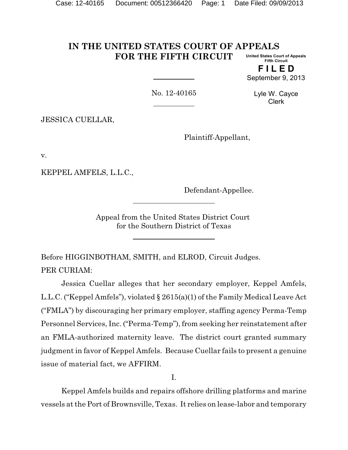#### **IN THE UNITED STATES COURT OF APPEALS FOR THE FIFTH CIRCUIT United States Court of Appeals Fifth Circuit**

**F I L E D** September 9, 2013

No. 12-40165

Lyle W. Cayce Clerk

JESSICA CUELLAR,

Plaintiff-Appellant,

v.

KEPPEL AMFELS, L.L.C.,

Defendant-Appellee.

Appeal from the United States District Court for the Southern District of Texas

Before HIGGINBOTHAM, SMITH, and ELROD, Circuit Judges. PER CURIAM:

Jessica Cuellar alleges that her secondary employer, Keppel Amfels, L.L.C. ("Keppel Amfels"), violated § 2615(a)(1) of the Family Medical Leave Act ("FMLA") by discouraging her primary employer, staffing agency Perma-Temp Personnel Services, Inc. ("Perma-Temp"), from seeking her reinstatement after an FMLA-authorized maternity leave. The district court granted summary judgment in favor of Keppel Amfels. Because Cuellar fails to present a genuine issue of material fact, we AFFIRM.

I.

Keppel Amfels builds and repairs offshore drilling platforms and marine vessels at the Port of Brownsville, Texas. It relies on lease-labor and temporary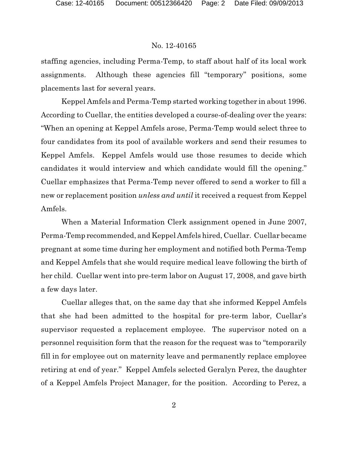staffing agencies, including Perma-Temp, to staff about half of its local work assignments. Although these agencies fill "temporary" positions, some placements last for several years.

Keppel Amfels and Perma-Temp started working together in about 1996. According to Cuellar, the entities developed a course-of-dealing over the years: "When an opening at Keppel Amfels arose, Perma-Temp would select three to four candidates from its pool of available workers and send their resumes to Keppel Amfels. Keppel Amfels would use those resumes to decide which candidates it would interview and which candidate would fill the opening." Cuellar emphasizes that Perma-Temp never offered to send a worker to fill a new or replacement position *unless and until* it received a request from Keppel Amfels.

When a Material Information Clerk assignment opened in June 2007, Perma-Temp recommended, and Keppel Amfels hired, Cuellar. Cuellar became pregnant at some time during her employment and notified both Perma-Temp and Keppel Amfels that she would require medical leave following the birth of her child. Cuellar went into pre-term labor on August 17, 2008, and gave birth a few days later.

Cuellar alleges that, on the same day that she informed Keppel Amfels that she had been admitted to the hospital for pre-term labor, Cuellar's supervisor requested a replacement employee. The supervisor noted on a personnel requisition form that the reason for the request was to "temporarily fill in for employee out on maternity leave and permanently replace employee retiring at end of year." Keppel Amfels selected Geralyn Perez, the daughter of a Keppel Amfels Project Manager, for the position. According to Perez, a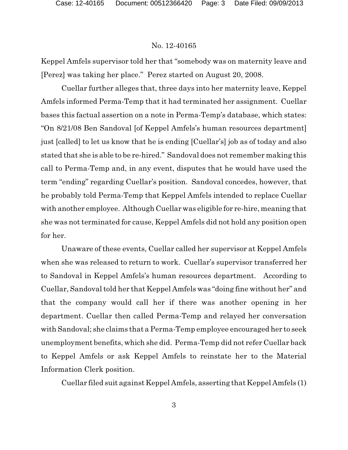Keppel Amfels supervisor told her that "somebody was on maternity leave and [Perez] was taking her place." Perez started on August 20, 2008.

Cuellar further alleges that, three days into her maternity leave, Keppel Amfels informed Perma-Temp that it had terminated her assignment. Cuellar bases this factual assertion on a note in Perma-Temp's database, which states: "On 8/21/08 Ben Sandoval [of Keppel Amfels's human resources department] just [called] to let us know that he is ending [Cuellar's] job as of today and also stated that she is able to be re-hired." Sandoval does not remember making this call to Perma-Temp and, in any event, disputes that he would have used the term "ending" regarding Cuellar's position. Sandoval concedes, however, that he probably told Perma-Temp that Keppel Amfels intended to replace Cuellar with another employee. Although Cuellar was eligible for re-hire, meaning that she was not terminated for cause, Keppel Amfels did not hold any position open for her.

Unaware of these events, Cuellar called her supervisor at Keppel Amfels when she was released to return to work. Cuellar's supervisor transferred her to Sandoval in Keppel Amfels's human resources department. According to Cuellar, Sandoval told her that Keppel Amfels was "doing fine without her" and that the company would call her if there was another opening in her department. Cuellar then called Perma-Temp and relayed her conversation with Sandoval; she claims that a Perma-Temp employee encouraged her to seek unemployment benefits, which she did. Perma-Temp did not refer Cuellar back to Keppel Amfels or ask Keppel Amfels to reinstate her to the Material Information Clerk position.

Cuellar filed suit against Keppel Amfels, asserting that Keppel Amfels (1)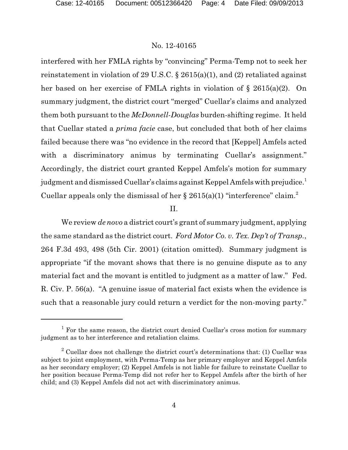interfered with her FMLA rights by "convincing" Perma-Temp not to seek her reinstatement in violation of 29 U.S.C.  $\S$  2615(a)(1), and (2) retaliated against her based on her exercise of FMLA rights in violation of § 2615(a)(2). On summary judgment, the district court "merged" Cuellar's claims and analyzed them both pursuant to the *McDonnell-Douglas* burden-shifting regime. It held that Cuellar stated a *prima facie* case, but concluded that both of her claims failed because there was "no evidence in the record that [Keppel] Amfels acted with a discriminatory animus by terminating Cuellar's assignment." Accordingly, the district court granted Keppel Amfels's motion for summary judgment and dismissed Cuellar's claims against Keppel Amfels with prejudice.<sup>1</sup> Cuellar appeals only the dismissal of her  $\S 2615(a)(1)$  "interference" claim.<sup>2</sup>

# II.

We review *de novo* a district court's grant of summary judgment, applying the same standard as the district court. *Ford Motor Co. v. Tex. Dep't of Transp.*, 264 F.3d 493, 498 (5th Cir. 2001) (citation omitted). Summary judgment is appropriate "if the movant shows that there is no genuine dispute as to any material fact and the movant is entitled to judgment as a matter of law." Fed. R. Civ. P. 56(a). "A genuine issue of material fact exists when the evidence is such that a reasonable jury could return a verdict for the non-moving party."

<sup>&</sup>lt;sup>1</sup> For the same reason, the district court denied Cuellar's cross motion for summary judgment as to her interference and retaliation claims.

 $2^2$  Cuellar does not challenge the district court's determinations that: (1) Cuellar was subject to joint employment, with Perma-Temp as her primary employer and Keppel Amfels as her secondary employer; (2) Keppel Amfels is not liable for failure to reinstate Cuellar to her position because Perma-Temp did not refer her to Keppel Amfels after the birth of her child; and (3) Keppel Amfels did not act with discriminatory animus.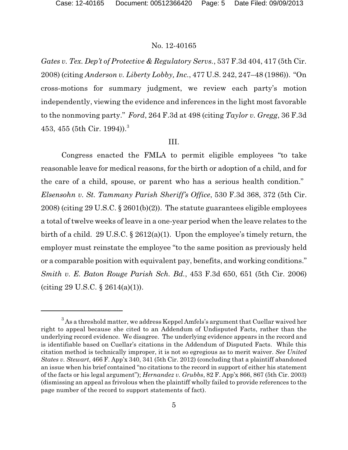*Gates v. Tex. Dep't of Protective & Regulatory Servs.*, 537 F.3d 404, 417 (5th Cir. 2008) (citing *Anderson v. Liberty Lobby, Inc.*, 477 U.S. 242, 247–48 (1986)). "On cross-motions for summary judgment, we review each party's motion independently, viewing the evidence and inferences in the light most favorable to the nonmoving party." *Ford*, 264 F.3d at 498 (citing *Taylor v. Gregg*, 36 F.3d 453, 455 (5th Cir. 1994)).<sup>3</sup>

# III.

Congress enacted the FMLA to permit eligible employees "to take reasonable leave for medical reasons, for the birth or adoption of a child, and for the care of a child, spouse, or parent who has a serious health condition." *Elsensohn v. St. Tammany Parish Sheriff's Office*, 530 F.3d 368, 372 (5th Cir. 2008) (citing 29 U.S.C. § 2601(b)(2)). The statute guarantees eligible employees a total of twelve weeks of leave in a one-year period when the leave relates to the birth of a child. 29 U.S.C.  $\S 2612(a)(1)$ . Upon the employee's timely return, the employer must reinstate the employee "to the same position as previously held or a comparable position with equivalent pay, benefits, and working conditions." *Smith v. E. Baton Rouge Parish Sch. Bd.*, 453 F.3d 650, 651 (5th Cir. 2006) (citing 29 U.S.C. § 2614(a)(1)).

 $3$ As a threshold matter, we address Keppel Amfels's argument that Cuellar waived her right to appeal because she cited to an Addendum of Undisputed Facts, rather than the underlying record evidence. We disagree. The underlying evidence appears in the record and is identifiable based on Cuellar's citations in the Addendum of Disputed Facts. While this citation method is technically improper, it is not so egregious as to merit waiver. *See United States v. Stewart*, 466 F. App'x 340, 341 (5th Cir. 2012) (concluding that a plaintiff abandoned an issue when his brief contained "no citations to the record in support of either his statement of the facts or his legal argument"); *Hernandez v. Grubbs*, 82 F. App'x 866, 867 (5th Cir. 2003) (dismissing an appeal as frivolous when the plaintiff wholly failed to provide references to the page number of the record to support statements of fact).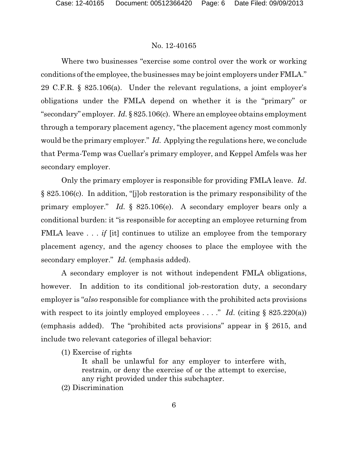Where two businesses "exercise some control over the work or working conditions of the employee, the businesses may be joint employers under FMLA." 29 C.F.R. § 825.106(a). Under the relevant regulations, a joint employer's obligations under the FMLA depend on whether it is the "primary" or "secondary" employer. *Id.* § 825.106(c). Where an employee obtains employment through a temporary placement agency, "the placement agency most commonly would be the primary employer." *Id.* Applying the regulations here, we conclude that Perma-Temp was Cuellar's primary employer, and Keppel Amfels was her secondary employer.

Only the primary employer is responsible for providing FMLA leave. *Id*. § 825.106(c). In addition, "[j]ob restoration is the primary responsibility of the primary employer." *Id.* § 825.106(e). A secondary employer bears only a conditional burden: it "is responsible for accepting an employee returning from FMLA leave . . . *if* [it] continues to utilize an employee from the temporary placement agency, and the agency chooses to place the employee with the secondary employer." *Id.* (emphasis added).

A secondary employer is not without independent FMLA obligations, however. In addition to its conditional job-restoration duty, a secondary employer is "*also* responsible for compliance with the prohibited acts provisions with respect to its jointly employed employees . . . ." *Id.* (citing  $\S$  825.220(a)) (emphasis added). The "prohibited acts provisions" appear in § 2615, and include two relevant categories of illegal behavior:

(1) Exercise of rights

It shall be unlawful for any employer to interfere with, restrain, or deny the exercise of or the attempt to exercise, any right provided under this subchapter.

(2) Discrimination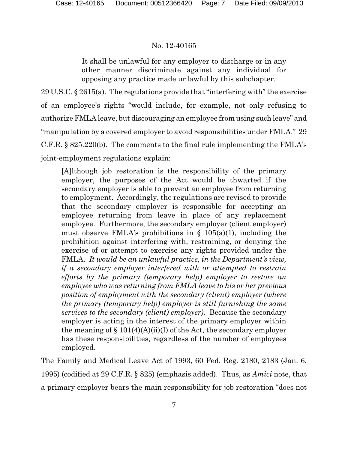It shall be unlawful for any employer to discharge or in any other manner discriminate against any individual for opposing any practice made unlawful by this subchapter.

29 U.S.C. § 2615(a). The regulations provide that "interfering with" the exercise of an employee's rights "would include, for example, not only refusing to authorize FMLA leave, but discouraging an employee from using such leave" and "manipulation by a covered employer to avoid responsibilities under FMLA." 29 C.F.R. § 825.220(b). The comments to the final rule implementing the FMLA's joint-employment regulations explain:

[A]lthough job restoration is the responsibility of the primary employer, the purposes of the Act would be thwarted if the secondary employer is able to prevent an employee from returning to employment. Accordingly, the regulations are revised to provide that the secondary employer is responsible for accepting an employee returning from leave in place of any replacement employee. Furthermore, the secondary employer (client employer) must observe FMLA's prohibitions in  $\S$  105(a)(1), including the prohibition against interfering with, restraining, or denying the exercise of or attempt to exercise any rights provided under the FMLA. *It would be an unlawful practice, in the Department's view, if a secondary employer interfered with or attempted to restrain efforts by the primary (temporary help) employer to restore an employee who was returning from FMLA leave to his or her previous position of employment with the secondary (client) employer (where the primary (temporary help) employer is still furnishing the same services to the secondary (client) employer).* Because the secondary employer is acting in the interest of the primary employer within the meaning of  $\S 101(4)(A)(ii)(I)$  of the Act, the secondary employer has these responsibilities, regardless of the number of employees employed.

The Family and Medical Leave Act of 1993, 60 Fed. Reg. 2180, 2183 (Jan. 6, 1995) (codified at 29 C.F.R. § 825) (emphasis added). Thus, as *Amici* note, that a primary employer bears the main responsibility for job restoration "does not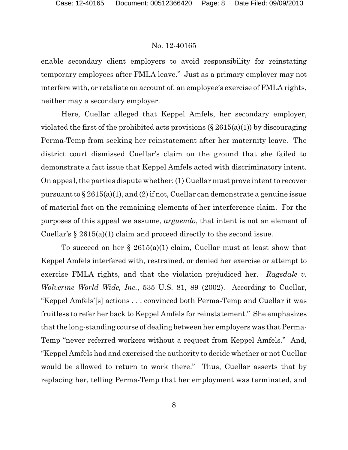enable secondary client employers to avoid responsibility for reinstating temporary employees after FMLA leave." Just as a primary employer may not interfere with, or retaliate on account of, an employee's exercise of FMLA rights, neither may a secondary employer.

Here, Cuellar alleged that Keppel Amfels, her secondary employer, violated the first of the prohibited acts provisions  $(\S 2615(a)(1))$  by discouraging Perma-Temp from seeking her reinstatement after her maternity leave. The district court dismissed Cuellar's claim on the ground that she failed to demonstrate a fact issue that Keppel Amfels acted with discriminatory intent. On appeal, the parties dispute whether: (1) Cuellar must prove intent to recover pursuant to  $\S 2615(a)(1)$ , and (2) if not, Cuellar can demonstrate a genuine issue of material fact on the remaining elements of her interference claim. For the purposes of this appeal we assume, *arguendo*, that intent is not an element of Cuellar's § 2615(a)(1) claim and proceed directly to the second issue.

To succeed on her  $\S 2615(a)(1)$  claim, Cuellar must at least show that Keppel Amfels interfered with, restrained, or denied her exercise or attempt to exercise FMLA rights, and that the violation prejudiced her. *Ragsdale v. Wolverine World Wide, Inc.*, 535 U.S. 81, 89 (2002). According to Cuellar, "Keppel Amfels'[s] actions . . . convinced both Perma-Temp and Cuellar it was fruitless to refer her back to Keppel Amfels for reinstatement." She emphasizes that the long-standing course of dealing between her employers was that Perma-Temp "never referred workers without a request from Keppel Amfels." And, "Keppel Amfels had and exercised the authority to decide whether or not Cuellar would be allowed to return to work there." Thus, Cuellar asserts that by replacing her, telling Perma-Temp that her employment was terminated, and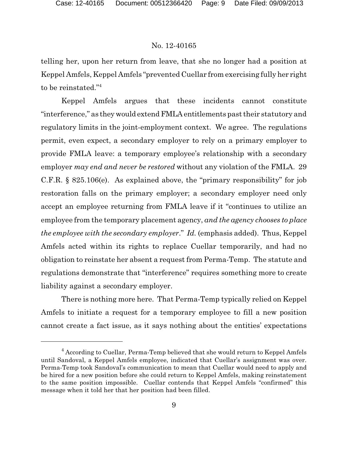telling her, upon her return from leave, that she no longer had a position at Keppel Amfels, Keppel Amfels "prevented Cuellar from exercising fully her right to be reinstated."<sup>4</sup>

Keppel Amfels argues that these incidents cannot constitute "interference," as they would extendFMLA entitlements past their statutory and regulatory limits in the joint-employment context. We agree. The regulations permit, even expect, a secondary employer to rely on a primary employer to provide FMLA leave: a temporary employee's relationship with a secondary employer *may end and never be restored* without any violation of the FMLA. 29 C.F.R. § 825.106(e). As explained above, the "primary responsibility" for job restoration falls on the primary employer; a secondary employer need only accept an employee returning from FMLA leave if it "continues to utilize an employee from the temporary placement agency, *and the agency chooses to place the employee with the secondary employer.*" *Id.* (emphasis added). Thus, Keppel Amfels acted within its rights to replace Cuellar temporarily, and had no obligation to reinstate her absent a request from Perma-Temp. The statute and regulations demonstrate that "interference" requires something more to create liability against a secondary employer.

There is nothing more here. That Perma-Temp typically relied on Keppel Amfels to initiate a request for a temporary employee to fill a new position cannot create a fact issue, as it says nothing about the entities' expectations

<sup>&</sup>lt;sup>4</sup> According to Cuellar, Perma-Temp believed that she would return to Keppel Amfels until Sandoval, a Keppel Amfels employee, indicated that Cuellar's assignment was over. Perma-Temp took Sandoval's communication to mean that Cuellar would need to apply and be hired for a new position before she could return to Keppel Amfels, making reinstatement to the same position impossible. Cuellar contends that Keppel Amfels "confirmed" this message when it told her that her position had been filled.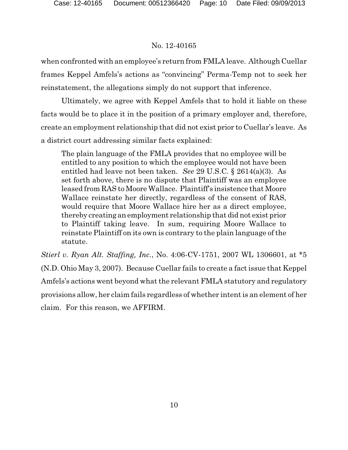when confronted with an employee's return from FMLA leave. Although Cuellar frames Keppel Amfels's actions as "convincing" Perma-Temp not to seek her reinstatement, the allegations simply do not support that inference.

Ultimately, we agree with Keppel Amfels that to hold it liable on these facts would be to place it in the position of a primary employer and, therefore, create an employment relationship that did not exist prior to Cuellar's leave. As a district court addressing similar facts explained:

The plain language of the FMLA provides that no employee will be entitled to any position to which the employee would not have been entitled had leave not been taken. *See* 29 U.S.C. § 2614(a)(3). As set forth above, there is no dispute that Plaintiff was an employee leased from RAS to Moore Wallace. Plaintiff's insistence that Moore Wallace reinstate her directly, regardless of the consent of RAS, would require that Moore Wallace hire her as a direct employee, thereby creating an employment relationship that did not exist prior to Plaintiff taking leave. In sum, requiring Moore Wallace to reinstate Plaintiff on its own is contrary to the plain language of the statute.

*Stierl v. Ryan Alt. Staffing, Inc.*, No. 4:06-CV-1751, 2007 WL 1306601, at \*5 (N.D. Ohio May 3, 2007). Because Cuellar fails to create a fact issue that Keppel Amfels's actions went beyond what the relevant FMLA statutory and regulatory provisions allow, her claim fails regardless of whether intent is an element of her claim. For this reason, we AFFIRM.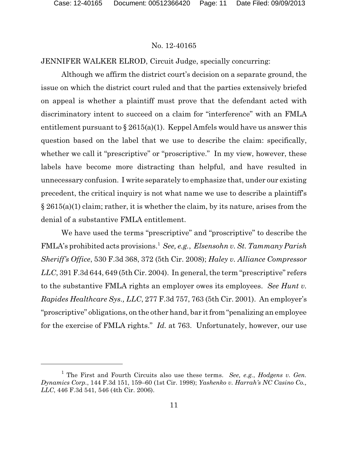JENNIFER WALKER ELROD, Circuit Judge, specially concurring:

Although we affirm the district court's decision on a separate ground, the issue on which the district court ruled and that the parties extensively briefed on appeal is whether a plaintiff must prove that the defendant acted with discriminatory intent to succeed on a claim for "interference" with an FMLA entitlement pursuant to  $\S 2615(a)(1)$ . Keppel Amfels would have us answer this question based on the label that we use to describe the claim: specifically, whether we call it "prescriptive" or "proscriptive." In my view, however, these labels have become more distracting than helpful, and have resulted in unnecessary confusion. I write separately to emphasize that, under our existing precedent, the critical inquiry is not what name we use to describe a plaintiff's  $\S 2615(a)(1)$  claim; rather, it is whether the claim, by its nature, arises from the denial of a substantive FMLA entitlement.

We have used the terms "prescriptive" and "proscriptive" to describe the FMLA's prohibited acts provisions.<sup>1</sup> *See, e.g.*, *Elsensohn v. St. Tammany Parish Sheriff's Office*, 530 F.3d 368, 372 (5th Cir. 2008); *Haley v. Alliance Compressor LLC*, 391 F.3d 644, 649 (5th Cir. 2004). In general, the term "prescriptive" refers to the substantive FMLA rights an employer owes its employees. *See Hunt v. Rapides Healthcare Sys., LLC*, 277 F.3d 757, 763 (5th Cir. 2001). An employer's "proscriptive" obligations, on the other hand, bar it from "penalizing an employee for the exercise of FMLA rights." *Id.* at 763. Unfortunately, however, our use

<sup>1</sup> The First and Fourth Circuits also use these terms. *See, e.g.*, *Hodgens v. Gen. Dynamics Corp.*, 144 F.3d 151, 159–60 (1st Cir. 1998); *Yashenko v. Harrah's NC Casino Co., LLC*, 446 F.3d 541, 546 (4th Cir. 2006).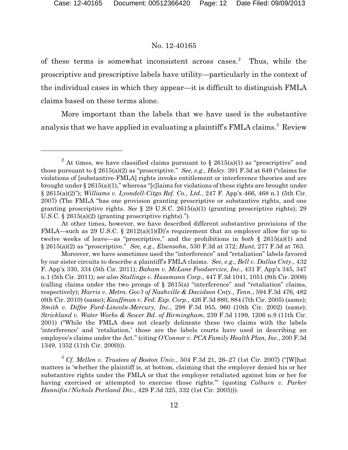of these terms is somewhat inconsistent across cases. Thus, while the proscriptive and prescriptive labels have utility—particularly in the context of the individual cases in which they appear—it is difficult to distinguish FMLA claims based on these terms alone.

More important than the labels that we have used is the substantive analysis that we have applied in evaluating a plaintiff's FMLA claims.<sup>3</sup> Review

<sup>&</sup>lt;sup>2</sup> At times, we have classified claims pursuant to § 2615(a)(1) as "prescriptive" and those pursuant to § 2615(a)(2) as "proscriptive." *See, e.g., Haley.* 391 F.3d at 649 ("claims for violations of [substantive-FMLA] rights invoke entitlement or interference theories and are brought under § 2615(a)(1)," whereas "[c]laims for violations of these rights are brought under § 2615(a)(2)"); *Williams v. Lyondell-Citgo Ref. Co., Ltd.*, 247 F. App'x 466, 468 n.1 (5th Cir. 2007) (The FMLA "has one provision granting prescriptive or substantive rights, and one granting proscriptive rights. *See* § 29 U.S.C. 2615(a)(1) (granting prescriptive rights); 29 U.S.C. § 2615(a)(2) (granting proscriptive rights).").

At other times, however, we have described different substantive provisions of the FMLA—such as 29 U.S.C. § 2612(a)(1)(D)'s requirement that an employer allow for up to twelve weeks of leave—as "prescriptive," and the prohibitions in *both* § 2615(a)(1) and § 2615(a)(2) as "proscriptive." *See, e.g.*, *Elsensohn*, 530 F.3d at 372; *Hunt*, 277 F.3d at 763.

Moreover, we have sometimes used the "interference" and "retaliation" labels favored by our sister circuits to describe a plaintiff's FMLA claims. *See, e.g.*, *Bell v. Dallas Cnty.*, 432 F. App'x 330, 334 (5th Cir. 2011); *Baham v. McLane Foodservice, Inc.*, 431 F. App'x 345, 347 n.1 (5th Cir. 2011); *see also Stallings v. Hussmann Corp*., 447 F.3d 1041, 1051 (8th Cir. 2006) (calling claims under the two prongs of  $\S$  2615(a) "interference" and "retaliation" claims, respectively); *Harris v. Metro. Gov't of Nashville & Davidson Cnty., Tenn.*, 594 F.3d 476, 482 (6th Cir. 2010) (same); *Kauffman v. Fed. Exp. Corp.*, 426 F.3d 880, 884 (7th Cir. 2005) (same); *Smith v. Diffee Ford-Lincoln-Mercury, Inc.*, 298 F.3d 955, 960 (10th Cir. 2002) (same); *Strickland v. Water Works & Sewer Bd. of Birmingham*, 239 F.3d 1199, 1206 n.9 (11th Cir. 2001) ("While the FMLA does not clearly delineate these two claims with the labels 'interference' and 'retaliation,' those are the labels courts have used in describing an employee's claims under the Act." (citing *O'Connor v. PCA Family Health Plan, Inc.*, 200 F.3d 1349, 1352 (11th Cir. 2000))).

<sup>3</sup> *Cf. Mellen v. Trustees of Boston Univ.*, 504 F.3d 21, 26–27 (1st Cir. 2007) ("[W]hat matters is 'whether the plaintiff is, at bottom, claiming that the employer denied his or her substantive rights under the FMLA or that the employer retaliated against him or her for having exercised or attempted to exercise those rights.'" (quoting *Colburn v. Parker Hannifin/Nichols Portland Div.*, 429 F.3d 325, 332 (1st Cir. 2005))).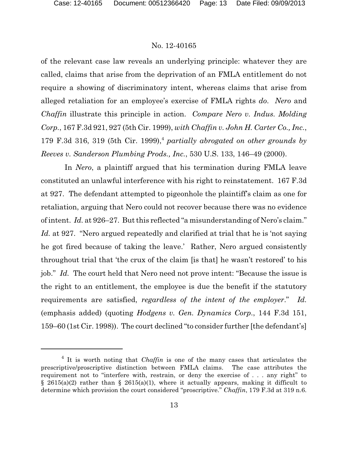of the relevant case law reveals an underlying principle: whatever they are called, claims that arise from the deprivation of an FMLA entitlement do not require a showing of discriminatory intent, whereas claims that arise from alleged retaliation for an employee's exercise of FMLA rights *do*. *Nero* and *Chaffin* illustrate this principle in action. *Compare Nero v. Indus. Molding Corp.*, 167 F.3d 921, 927 (5th Cir. 1999), *with Chaffin v. John H. Carter Co., Inc.*, 179 F.3d 316, 319 (5th Cir. 1999),<sup>4</sup> *partially abrogated on other grounds by Reeves v. Sanderson Plumbing Prods., Inc.*, 530 U.S. 133, 146–49 (2000).

In *Nero*, a plaintiff argued that his termination during FMLA leave constituted an unlawful interference with his right to reinstatement. 167 F.3d at 927. The defendant attempted to pigeonhole the plaintiff's claim as one for retaliation, arguing that Nero could not recover because there was no evidence of intent. *Id.* at 926–27. But this reflected "a misunderstanding of Nero's claim." *Id.* at 927. "Nero argued repeatedly and clarified at trial that he is 'not saying he got fired because of taking the leave.' Rather, Nero argued consistently throughout trial that 'the crux of the claim [is that] he wasn't restored' to his job." *Id.* The court held that Nero need not prove intent: "Because the issue is the right to an entitlement, the employee is due the benefit if the statutory requirements are satisfied, *regardless of the intent of the employer*." *Id.*  (emphasis added) (quoting *Hodgens v. Gen. Dynamics Corp*., 144 F.3d 151, 159–60 (1st Cir. 1998)). The court declined "to consider further [the defendant's]

<sup>&</sup>lt;sup>4</sup> It is worth noting that *Chaffin* is one of the many cases that articulates the prescriptive/proscriptive distinction between FMLA claims. The case attributes the requirement not to "interfere with, restrain, or deny the exercise of . . . any right" to § 2615(a)(2) rather than § 2615(a)(1), where it actually appears, making it difficult to determine which provision the court considered "proscriptive." *Chaffin*, 179 F.3d at 319 n.6.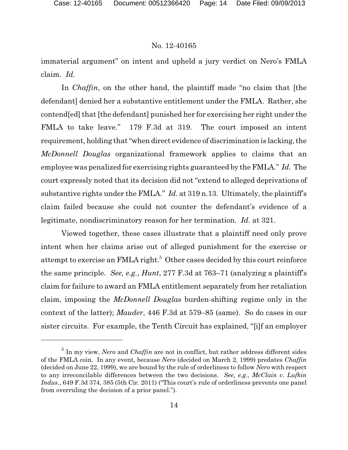immaterial argument" on intent and upheld a jury verdict on Nero's FMLA claim. *Id.* 

In *Chaffin*, on the other hand, the plaintiff made "no claim that [the defendant] denied her a substantive entitlement under the FMLA. Rather, she contend[ed] that [the defendant] punished her for exercising her right under the FMLA to take leave." 179 F.3d at 319. The court imposed an intent requirement, holding that "when direct evidence of discrimination is lacking, the *McDonnell Douglas* organizational framework applies to claims that an employee was penalized for exercising rights guaranteed by the FMLA." *Id.* The court expressly noted that its decision did not "extend to alleged deprivations of substantive rights under the FMLA." *Id.* at 319 n.13. Ultimately, the plaintiff's claim failed because she could not counter the defendant's evidence of a legitimate, nondiscriminatory reason for her termination. *Id.* at 321.

Viewed together, these cases illustrate that a plaintiff need only prove intent when her claims arise out of alleged punishment for the exercise or attempt to exercise an FMLA right.<sup>5</sup> Other cases decided by this court reinforce the same principle. *See, e.g.*, *Hunt*, 277 F.3d at 763–71 (analyzing a plaintiff's claim for failure to award an FMLA entitlement separately from her retaliation claim, imposing the *McDonnell Douglas* burden-shifting regime only in the context of the latter); *Mauder*, 446 F.3d at 579–85 (same). So do cases in our sister circuits. For example, the Tenth Circuit has explained, "[i]f an employer

<sup>5</sup> In my view, *Nero* and *Chaffin* are not in conflict, but rather address different sides of the FMLA coin. In any event, because *Nero* (decided on March 2, 1999) predates *Chaffin* (decided on June 22, 1999), we are bound by the rule of orderliness to follow *Nero* with respect to any irreconcilable differences between the two decisions. *See, e.g.*, *McClain v. Lufkin Indus.*, 649 F.3d 374, 385 (5th Cir. 2011) ("This court's rule of orderliness prevents one panel from overruling the decision of a prior panel.").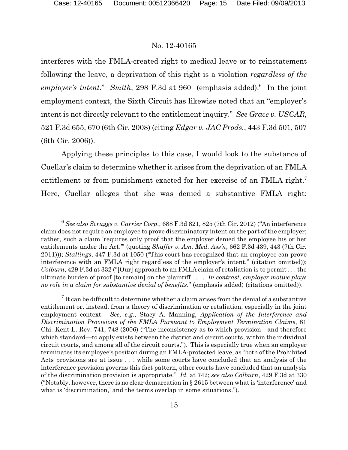interferes with the FMLA-created right to medical leave or to reinstatement following the leave, a deprivation of this right is a violation *regardless of the employer's intent*." *Smith*, 298 F.3d at 960 (emphasis added).<sup>6</sup> In the joint employment context, the Sixth Circuit has likewise noted that an "employer's intent is not directly relevant to the entitlement inquiry." *See Grace v. USCAR*, 521 F.3d 655, 670 (6th Cir. 2008) (citing *Edgar v. JAC Prods.*, 443 F.3d 501, 507 (6th Cir. 2006)).

Applying these principles to this case, I would look to the substance of Cuellar's claim to determine whether it arises from the deprivation of an FMLA entitlement or from punishment exacted for her exercise of an FMLA right.<sup>7</sup> Here, Cuellar alleges that she was denied a substantive FMLA right:

<sup>6</sup> *See also Scruggs v. Carrier Corp.*, 688 F.3d 821, 825 (7th Cir. 2012) ("An interference claim does not require an employee to prove discriminatory intent on the part of the employer; rather, such a claim 'requires only proof that the employer denied the employee his or her entitlements under the Act.'" (quoting *Shaffer v. Am. Med. Ass'n*, 662 F.3d 439, 443 (7th Cir. 2011))); *Stallings*, 447 F.3d at 1050 ("This court has recognized that an employee can prove interference with an FMLA right regardless of the employer's intent." (citation omitted)); *Colburn*, 429 F.3d at 332 ("[Our] approach to an FMLA claim of retaliation is to permit . . . the ultimate burden of proof [to remain] on the plaintiff . . . . *In contrast, employer motive plays no role in a claim for substantive denial of benefits*." (emphasis added) (citations omitted)).

 $\frac{7}{7}$  It can be difficult to determine whether a claim arises from the denial of a substantive entitlement or, instead, from a theory of discrimination or retaliation, especially in the joint employment context. *See, e.g.*, Stacy A. Manning, *Application of the Interference and Discrimination Provisions of the FMLA Pursuant to Employment Termination Claims*, 81 Chi.-Kent L. Rev. 741, 748 (2006) ("The inconsistency as to which provision—and therefore which standard—to apply exists between the district and circuit courts, within the individual circuit courts, and among all of the circuit courts."). This is especially true when an employer terminates its employee's position during an FMLA-protected leave, as "both of the Prohibited Acts provisions are at issue . . . while some courts have concluded that an analysis of the interference provision governs this fact pattern, other courts have concluded that an analysis of the discrimination provision is appropriate." *Id.* at 742; *see also Colburn*, 429 F.3d at 330 ("Notably, however, there is no clear demarcation in § 2615 between what is 'interference' and what is 'discrimination,' and the terms overlap in some situations.").